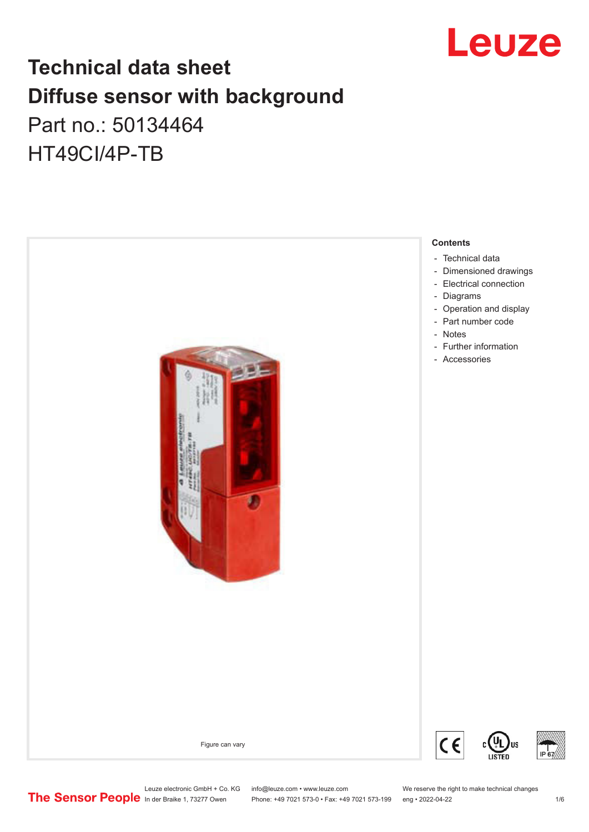

## **Technical data sheet Diffuse sensor with background**  Part no.: 50134464

HT49CI/4P-TB



Leuze electronic GmbH + Co. KG info@leuze.com • www.leuze.com We reserve the right to make technical changes<br>
The Sensor People in der Braike 1, 73277 Owen Phone: +49 7021 573-0 • Fax: +49 7021 573-199 eng • 2022-04-22

Phone: +49 7021 573-0 • Fax: +49 7021 573-199 eng • 2022-04-22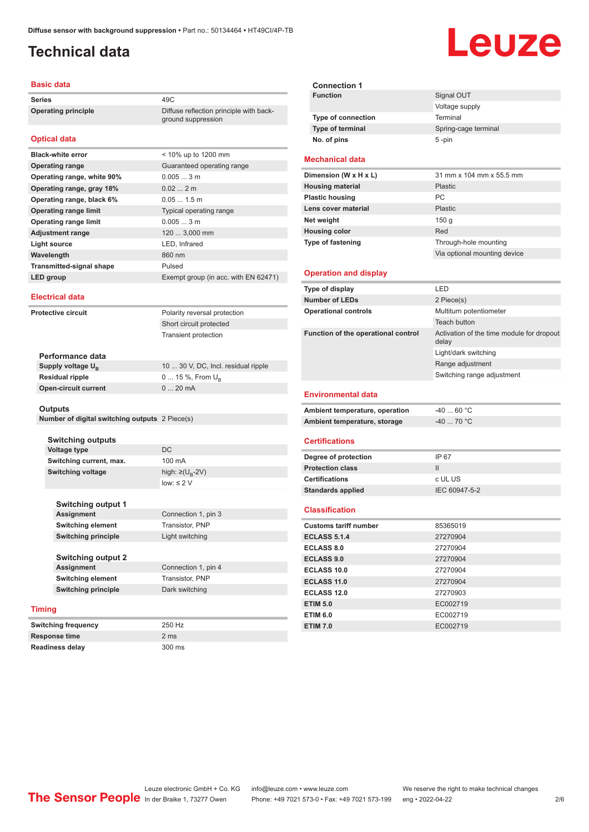ground suppression

## <span id="page-1-0"></span>**Technical data**

#### **Basic data**

**Series** 49C **Operating principle** Diffuse reflection principle with back-

#### **Optical data**

| <b>Black-white error</b>        | < 10% up to 1200 mm                  |
|---------------------------------|--------------------------------------|
| <b>Operating range</b>          | Guaranteed operating range           |
| Operating range, white 90%      | 0.0053m                              |
| Operating range, gray 18%       | 0.022m                               |
| Operating range, black 6%       | $0.051.5$ m                          |
| <b>Operating range limit</b>    | Typical operating range              |
| <b>Operating range limit</b>    | 0.0053m                              |
| <b>Adjustment range</b>         | 120  3,000 mm                        |
| Light source                    | LED, Infrared                        |
| Wavelength                      | 860 nm                               |
| <b>Transmitted-signal shape</b> | Pulsed                               |
| LED group                       | Exempt group (in acc. with EN 62471) |
|                                 |                                      |

#### **Electrical data**

**Protective circuit** Polarity reversal protection

Short circuit protected Transient protection

| 10  30 V, DC, Incl. residual ripple |
|-------------------------------------|
| 0  15 %, From $U_{\rm B}$           |
| $020$ mA                            |
|                                     |

#### **Outputs**

**Number of digital switching outputs** 2 Piece(s)

**Switching outputs Voltage type** DC **Switching current, max.** 100 mA **Switching voltage** 

high:  $\geq (U_B - 2V)$ low: ≤ 2  $V$ 

| Switching output 1         |                     |
|----------------------------|---------------------|
| <b>Assignment</b>          | Connection 1, pin 3 |
| <b>Switching element</b>   | Transistor, PNP     |
| <b>Switching principle</b> | Light switching     |
|                            |                     |

| Switching output 2  |                     |
|---------------------|---------------------|
| Assignment          | Connection 1, pin 4 |
| Switching element   | Transistor, PNP     |
| Switching principle | Dark switching      |
|                     |                     |

#### **Timing**

| Switching frequency | 250 Hz |
|---------------------|--------|
| Response time       | 2 ms   |
| Readiness delay     | 300 ms |

| <b>Connection 1</b>       |                      |
|---------------------------|----------------------|
| <b>Function</b>           | Signal OUT           |
|                           | Voltage supply       |
| <b>Type of connection</b> | Terminal             |
| Type of terminal          | Spring-cage terminal |
| No. of pins               | $5 - pin$            |

#### **Mechanical data**

| Dimension (W x H x L)    | 31 mm x 104 mm x 55.5 mm     |
|--------------------------|------------------------------|
| <b>Housing material</b>  | Plastic                      |
| <b>Plastic housing</b>   | <b>PC</b>                    |
| Lens cover material      | Plastic                      |
| Net weight               | 150q                         |
| <b>Housing color</b>     | Red                          |
| <b>Type of fastening</b> | Through-hole mounting        |
|                          | Via optional mounting device |
|                          |                              |

#### **Operation and display**

| Type of display                     | LED                                                |  |
|-------------------------------------|----------------------------------------------------|--|
| <b>Number of LEDs</b>               | 2 Piece(s)                                         |  |
| <b>Operational controls</b>         | Multiturn potentiometer                            |  |
|                                     | Teach button                                       |  |
| Function of the operational control | Activation of the time module for dropout<br>delay |  |
|                                     | Light/dark switching                               |  |
|                                     | Range adjustment                                   |  |
|                                     | Switching range adjustment                         |  |
| <b>Environmental data</b>           |                                                    |  |
| Ambient temperature, operation      | $-4060 °C$                                         |  |
| Ambient temperature, storage        | $-40$ 70 °C                                        |  |
| <b>Certifications</b>               |                                                    |  |
| Degree of protection                | IP 67                                              |  |
| <b>Protection class</b>             | Ш                                                  |  |
| <b>Certifications</b><br>c UL US    |                                                    |  |
| <b>Standards applied</b>            | IEC 60947-5-2                                      |  |
| <b>Classification</b>               |                                                    |  |
| <b>Customs tariff number</b>        | 85365019                                           |  |
| <b>ECLASS 5.1.4</b>                 | 27270904                                           |  |
| <b>ECLASS 8.0</b>                   | 27270904                                           |  |
| <b>ECLASS 9.0</b>                   | 27270904                                           |  |
| <b>ECLASS 10.0</b>                  | 27270904                                           |  |
| <b>ECLASS 11.0</b>                  | 27270904                                           |  |
| <b>ECLASS 12.0</b>                  | 27270903                                           |  |
| <b>ETIM 5.0</b>                     | EC002719                                           |  |
| <b>ETIM 6.0</b>                     | EC002719                                           |  |
| <b>ETIM 7.0</b>                     | EC002719                                           |  |



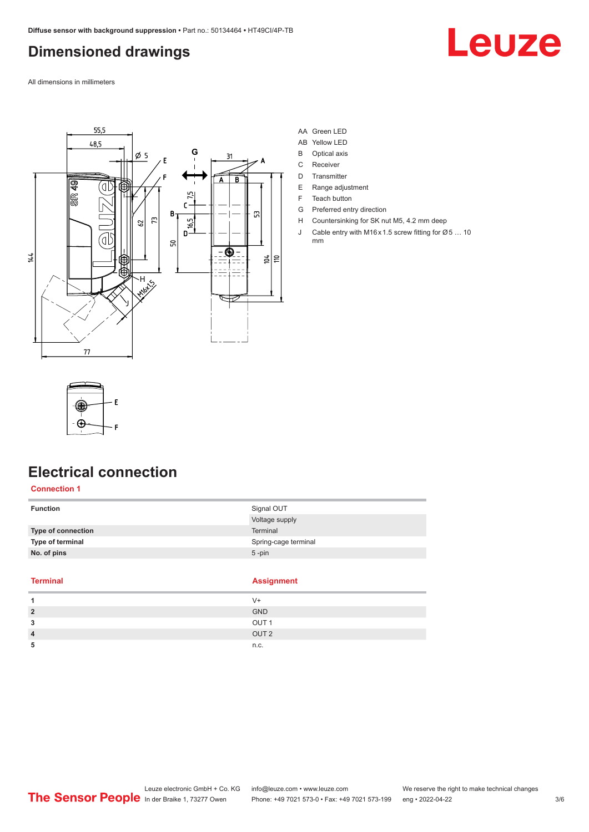## <span id="page-2-0"></span>**Dimensioned drawings**

All dimensions in millimeters



#### AA Green LED

- AB Yellow LED
- B Optical axis
- C Receiver
- D Transmitter
- E Range adjustment
- F Teach button
- G Preferred entry direction
- H Countersinking for SK nut M5, 4.2 mm deep
- J Cable entry with M16 x 1.5 screw fitting for Ø 5 ... 10 mm

Leuze



## **Electrical connection**

#### **Connection 1**

| <b>Function</b>    | Signal OUT           |
|--------------------|----------------------|
|                    | Voltage supply       |
| Type of connection | <b>Terminal</b>      |
| Type of terminal   | Spring-cage terminal |
| No. of pins        | $5 - pin$            |
|                    |                      |

#### **Terminal Assignment**

|                | __               |
|----------------|------------------|
|                | V+               |
| $\overline{2}$ | <b>GND</b>       |
| 3              | OUT <sub>1</sub> |
| 4              | OUT <sub>2</sub> |
| 5              | n.c.             |
|                |                  |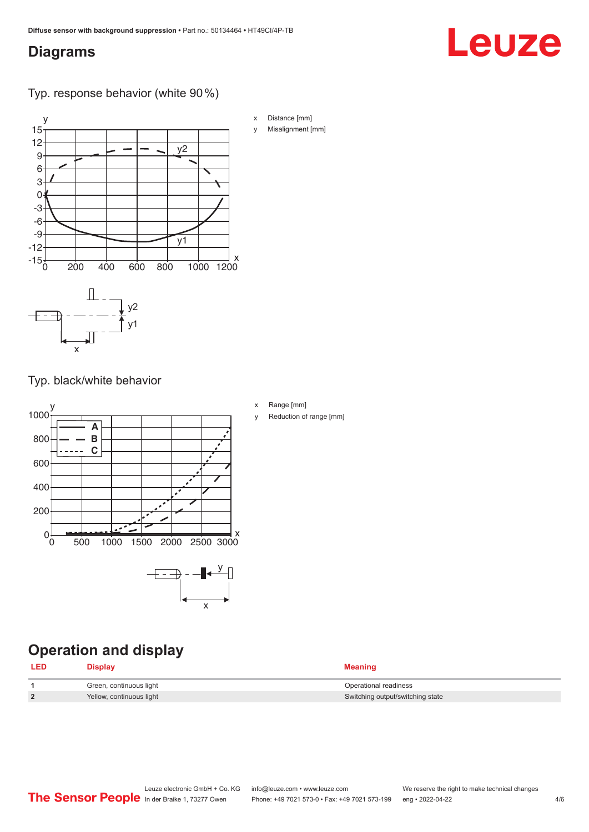## <span id="page-3-0"></span>**Diagrams**

# Leuze

Typ. response behavior (white 90 %)



Typ. black/white behavior



## **Operation and display**

| <b>LED</b> | <b>Display</b>           | <b>Meaning</b>                   |
|------------|--------------------------|----------------------------------|
|            | Green, continuous light  | Operational readiness            |
|            | Yellow, continuous light | Switching output/switching state |

x Range [mm]

y Reduction of range [mm]

Misalignment [mm]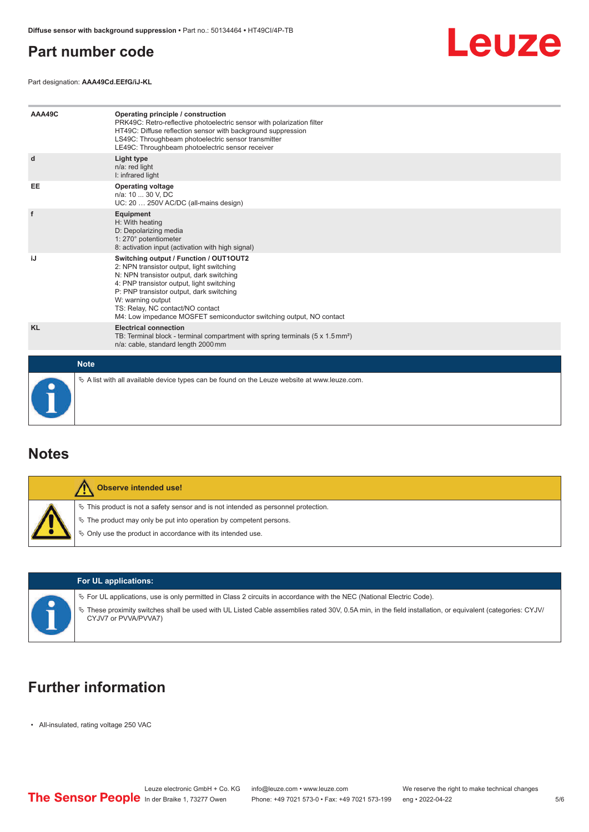## <span id="page-4-0"></span>**Part number code**

Leuze

Part designation: **AAA49Cd.EEfG/iJ-KL**

| AAA49C      | Operating principle / construction<br>PRK49C: Retro-reflective photoelectric sensor with polarization filter<br>HT49C: Diffuse reflection sensor with background suppression<br>LS49C: Throughbeam photoelectric sensor transmitter<br>LE49C: Throughbeam photoelectric sensor receiver                                                                  |
|-------------|----------------------------------------------------------------------------------------------------------------------------------------------------------------------------------------------------------------------------------------------------------------------------------------------------------------------------------------------------------|
| d           | Light type<br>n/a: red light<br>I: infrared light                                                                                                                                                                                                                                                                                                        |
| EE          | <b>Operating voltage</b><br>n/a: 10  30 V, DC<br>UC: 20  250V AC/DC (all-mains design)                                                                                                                                                                                                                                                                   |
| f           | Equipment<br>H: With heating<br>D: Depolarizing media<br>1: 270° potentiometer<br>8: activation input (activation with high signal)                                                                                                                                                                                                                      |
| iJ          | Switching output / Function / OUT1OUT2<br>2: NPN transistor output, light switching<br>N: NPN transistor output, dark switching<br>4: PNP transistor output, light switching<br>P: PNP transistor output, dark switching<br>W: warning output<br>TS: Relay, NC contact/NO contact<br>M4: Low impedance MOSFET semiconductor switching output, NO contact |
| <b>KL</b>   | <b>Electrical connection</b><br>TB: Terminal block - terminal compartment with spring terminals $(5 \times 1.5 \text{ mm}^2)$<br>n/a: cable, standard length 2000 mm                                                                                                                                                                                     |
| <b>Note</b> |                                                                                                                                                                                                                                                                                                                                                          |
|             | $\&$ A list with all available device types can be found on the Leuze website at www.leuze.com.                                                                                                                                                                                                                                                          |

### **Notes**

| <b>Observe intended use!</b>                                                                                                                                                                                                  |
|-------------------------------------------------------------------------------------------------------------------------------------------------------------------------------------------------------------------------------|
| $\%$ This product is not a safety sensor and is not intended as personnel protection.<br>$\%$ The product may only be put into operation by competent persons.<br>₿ Only use the product in accordance with its intended use. |



#### **For UL applications:**

 $\%$  For UL applications, use is only permitted in Class 2 circuits in accordance with the NEC (National Electric Code).

ª These proximity switches shall be used with UL Listed Cable assemblies rated 30V, 0.5A min, in the field installation, or equivalent (categories: CYJV/ CYJV7 or PVVA/PVVA7)

## **Further information**

• All-insulated, rating voltage 250 VAC